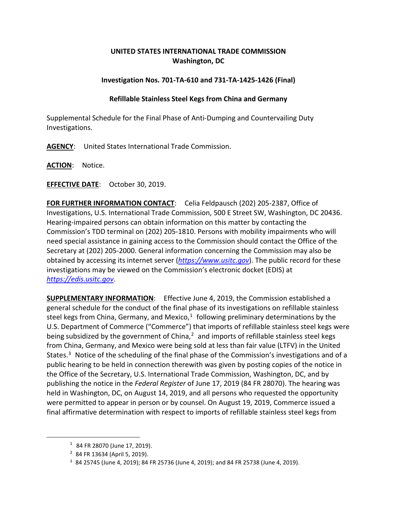## **UNITED STATES INTERNATIONAL TRADE COMMISSION Washington, DC**

## **Investigation Nos. 701-TA-610 and 731-TA-1425-1426 (Final)**

## **Refillable Stainless Steel Kegs from China and Germany**

Supplemental Schedule for the Final Phase of Anti-Dumping and Countervailing Duty Investigations.

**AGENCY**: United States International Trade Commission.

**ACTION**: Notice.

**EFFECTIVE DATE**: October 30, 2019.

**FOR FURTHER INFORMATION CONTACT**: Celia Feldpausch (202) 205-2387, Office of Investigations, U.S. International Trade Commission, 500 E Street SW, Washington, DC 20436. Hearing-impaired persons can obtain information on this matter by contacting the Commission's TDD terminal on (202) 205-1810. Persons with mobility impairments who will need special assistance in gaining access to the Commission should contact the Office of the Secretary at (202) 205-2000. General information concerning the Commission may also be obtained by accessing its internet server (*[https://www.usitc.gov](https://www.usitc.gov/)*). The public record for these investigations may be viewed on the Commission's electronic docket (EDIS) at *[https://edis.usitc.gov](https://edis.usitc.gov/)*.

**SUPPLEMENTARY INFORMATION**: Effective June 4, 2019, the Commission established a general schedule for the conduct of the final phase of its investigations on refillable stainless steel kegs from China, Germany, and Mexico, $1$  following preliminary determinations by the U.S. Department of Commerce ("Commerce") that imports of refillable stainless steel kegs were being subsidized by the government of China, $<sup>2</sup>$  $<sup>2</sup>$  $<sup>2</sup>$  and imports of refillable stainless steel kegs</sup> from China, Germany, and Mexico were being sold at less than fair value (LTFV) in the United States.<sup>[3](#page-0-2)</sup> Notice of the scheduling of the final phase of the Commission's investigations and of a public hearing to be held in connection therewith was given by posting copies of the notice in the Office of the Secretary, U.S. International Trade Commission, Washington, DC, and by publishing the notice in the *Federal Register* of June 17, 2019 (84 FR 28070). The hearing was held in Washington, DC, on August 14, 2019, and all persons who requested the opportunity were permitted to appear in person or by counsel. On August 19, 2019, Commerce issued a final affirmative determination with respect to imports of refillable stainless steel kegs from

<span id="page-0-2"></span><span id="page-0-1"></span><span id="page-0-0"></span> $\overline{a}$ 

 $1$  84 FR 28070 (June 17, 2019).

<sup>2</sup> 84 FR 13634 (April 5, 2019).

<sup>3</sup> 84 25745 (June 4, 2019); 84 FR 25736 (June 4, 2019); and 84 FR 25738 (June 4, 2019).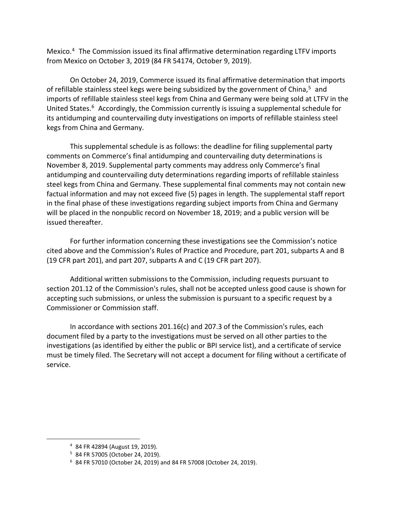Mexico. [4](#page-1-0) The Commission issued its final affirmative determination regarding LTFV imports from Mexico on October 3, 2019 (84 FR 54174, October 9, 2019).

On October 24, 2019, Commerce issued its final affirmative determination that imports of refillable stainless steel kegs were being subsidized by the government of China, $5$  and imports of refillable stainless steel kegs from China and Germany were being sold at LTFV in the United States.<sup>[6](#page-1-2)</sup> Accordingly, the Commission currently is issuing a supplemental schedule for its antidumping and countervailing duty investigations on imports of refillable stainless steel kegs from China and Germany.

This supplemental schedule is as follows: the deadline for filing supplemental party comments on Commerce's final antidumping and countervailing duty determinations is November 8, 2019. Supplemental party comments may address only Commerce's final antidumping and countervailing duty determinations regarding imports of refillable stainless steel kegs from China and Germany. These supplemental final comments may not contain new factual information and may not exceed five (5) pages in length. The supplemental staff report in the final phase of these investigations regarding subject imports from China and Germany will be placed in the nonpublic record on November 18, 2019; and a public version will be issued thereafter.

For further information concerning these investigations see the Commission's notice cited above and the Commission's Rules of Practice and Procedure, part 201, subparts A and B (19 CFR part 201), and part 207, subparts A and C (19 CFR part 207).

Additional written submissions to the Commission, including requests pursuant to section 201.12 of the Commission's rules, shall not be accepted unless good cause is shown for accepting such submissions, or unless the submission is pursuant to a specific request by a Commissioner or Commission staff.

In accordance with sections 201.16(c) and 207.3 of the Commission's rules, each document filed by a party to the investigations must be served on all other parties to the investigations (as identified by either the public or BPI service list), and a certificate of service must be timely filed. The Secretary will not accept a document for filing without a certificate of service.

<span id="page-1-2"></span><span id="page-1-1"></span><span id="page-1-0"></span> $\overline{a}$ 

<sup>4</sup> 84 FR 42894 (August 19, 2019).

<sup>5</sup> 84 FR 57005 (October 24, 2019).

<sup>6</sup> 84 FR 57010 (October 24, 2019) and 84 FR 57008 (October 24, 2019).